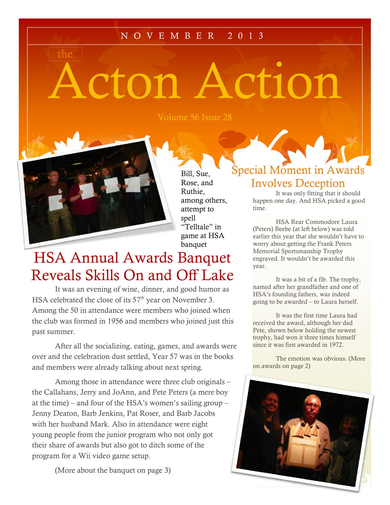#### N O V E M B E R 2 0 1 3

# Acton Action

Volume 56 Issue 28



the

Bill, Sue, Rose, and Ruthie, among others, attempt to spell "Telltale" in game at HSA banquet

## HSA Annual Awards Banquet Reveals Skills On and Off Lake

It was an evening of wine, dinner, and good humor as HSA celebrated the close of its  $57<sup>th</sup>$  year on November 3. Among the 50 in attendance were members who joined when the club was formed in 1956 and members who joined just this past summer.

After all the socializing, eating, games, and awards were over and the celebration dust settled, Year 57 was in the books and members were already talking about next spring.

Among those in attendance were three club originals – Among those in attendance were three club originals – the Callahans, Jerry and JoAnn, and Pete Peters (a mere boy at the time) – and four of the HSA's women's sailing group – at the time) – and four of the HSA's women's sailing group – Jenny Deaton, Barb Jenkins, Pat Roser, and Barb Jacobs with her husband Mark. Also in attendance were eight young people from the junior program who not only got  $\vert$ their share of awards but also got to ditch some of the  $\vert$ program for a Wii video game setup.

(More about the banquet on page 3)

#### Special Moment in Awards Involves Deception

It was only fitting that it should happen one day. And HSA picked a good time.

HSA Rear Commodore Laura (Peters) Beebe (at left below) was told earlier this year that she wouldn't have to worry about getting the Frank Peters Memorial Sportsmanship Trophy engraved. It wouldn't be awarded this year.

It was a bit of a fib. The trophy, named after her grandfather and one of HSA's founding fathers, was indeed going to be awarded – to Laura herself.

It was the first time Laura had received the award, although her dad Pete, shown below holding the newest trophy, had won it three times himself since it was first awarded in 1972.

The emotion was obvious. (More on awards on page 2)

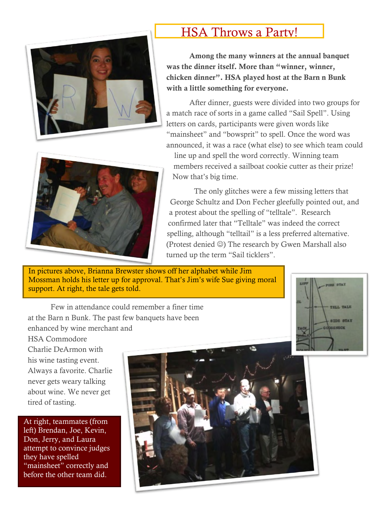



#### HSA Throws a Party!

**Among the many winners at the annual banquet was the dinner itself. More than "winner, winner, chicken dinner". HSA played host at the Barn n Bunk with a little something for everyone.**

After dinner, guests were divided into two groups for a match race of sorts in a game called "Sail Spell". Using letters on cards, participants were given words like "mainsheet" and "bowsprit" to spell. Once the word was announced, it was a race (what else) to see which team could

line up and spell the word correctly. Winning team members received a sailboat cookie cutter as their prize! Now that's big time.

The only glitches were a few missing letters that George Schultz and Don Fecher gleefully pointed out, and a protest about the spelling of "telltale". Research confirmed later that "Telltale" was indeed the correct spelling, although "telltail" is a less preferred alternative. (Protest denied  $\circledcirc$ ) The research by Gwen Marshall also turned up the term "Sail ticklers".

In pictures above, Brianna Brewster shows off her alphabet while Jim Mossman holds his letter up for approval. That's Jim's wife Sue giving moral support. At right, the tale gets told.



Few in attendance could remember a finer time at the Barn n Bunk. The past few banquets have been enhanced by wine merchant and

HSA Commodore Charlie DeArmon with his wine tasting event. Always a favorite. Charlie never gets weary talking about wine. We never get tired of tasting.

At right, teammates (from left) Brendan, Joe, Kevin, Don, Jerry, and Laura attempt to convince judges they have spelled "mainsheet" correctly and before the other team did.

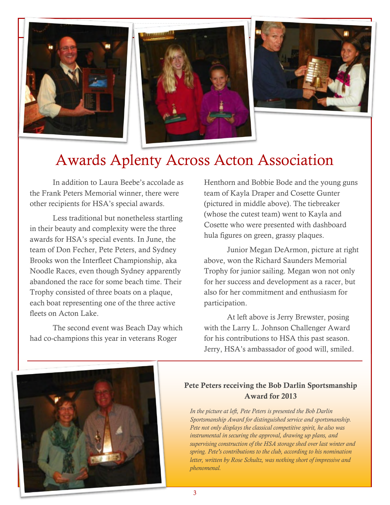



# Awards Aplenty Across Acton Association

In addition to Laura Beebe's accolade as the Frank Peters Memorial winner, there were other recipients for HSA's special awards.

Less traditional but nonetheless startling in their beauty and complexity were the three awards for HSA's special events. In June, the team of Don Fecher, Pete Peters, and Sydney Brooks won the Interfleet Championship, aka Noodle Races, even though Sydney apparently abandoned the race for some beach time. Their Trophy consisted of three boats on a plaque, each boat representing one of the three active fleets on Acton Lake.

The second event was Beach Day which had co-champions this year in veterans Roger

Henthorn and Bobbie Bode and the young guns team of Kayla Draper and Cosette Gunter (pictured in middle above). The tiebreaker (whose the cutest team) went to Kayla and Cosette who were presented with dashboard hula figures on green, grassy plaques.

Junior Megan DeArmon, picture at right above, won the Richard Saunders Memorial Trophy for junior sailing. Megan won not only for her success and development as a racer, but also for her commitment and enthusiasm for participation.

At left above is Jerry Brewster, posing with the Larry L. Johnson Challenger Award for his contributions to HSA this past season. Jerry, HSA's ambassador of good will, smiled.



#### **Pete Peters receiving the Bob Darlin Sportsmanship Award for 2013**

*In the picture at left, Pete Peters is presented the Bob Darlin Sportsmanship Award for distinguished service and sportsmanship. Pete not only displays the classical competitive spirit, he also was instrumental in securing the approval, drawing up plans, and supervising construction of the HSA storage shed over last winter and spring. Pete's contributions to the club, according to his nomination letter, written by Rose Schultz, was nothing short of impressive and phenomenal.*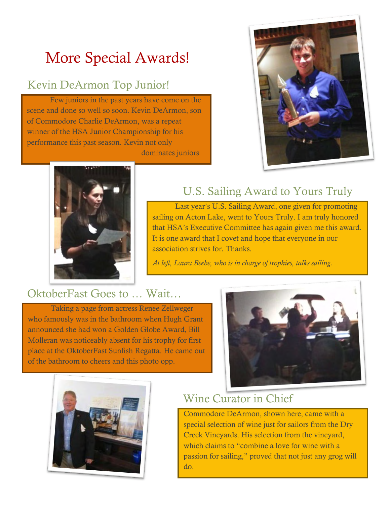# More Special Awards!

#### Kevin DeArmon Top Junior!

Few juniors in the past years have come on the scene and done so well so soon. Kevin DeArmon, son of Commodore Charlie DeArmon, was a repeat winner of the HSA Junior Championship for his performance this past season. Kevin not only

dominates juniors but occasionally





#### U.S. Sailing Award to Yours Truly

Last year's U.S. Sailing Award, one given for promoting sailing on Acton Lake, went to Yours Truly. I am truly honored that HSA's Executive Committee has again given me this award. It is one award that I covet and hope that everyone in our association strives for. Thanks.

*At left, Laura Beebe, who is in charge of trophies, talks sailing.*

#### OktoberFast Goes to … Wait…

Taking a page from actress Renee Zellweger who famously was in the bathroom when Hugh Grant announced she had won a Golden Globe Award, Bill Molleran was noticeably absent for his trophy for first place at the OktoberFast Sunfish Regatta. He came out of the bathroom to cheers and this photo opp.





#### Wine Curator in Chief

Commodore DeArmon, shown here, came with a special selection of wine just for sailors from the Dry Creek Vineyards. His selection from the vineyard, which claims to "combine a love for wine with a passion for sailing," proved that not just any grog will do.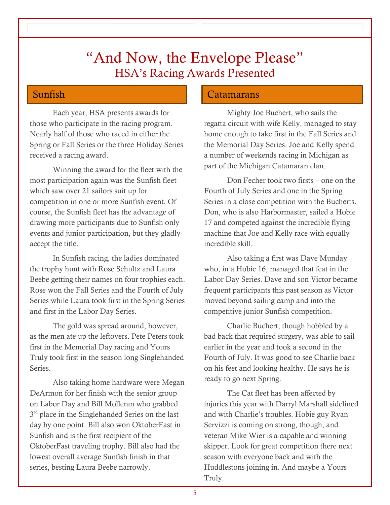### "And Now, the Envelope Please" HSA's Racing Awards Presented

Each year, HSA presents awards for those who participate in the racing program. Nearly half of those who raced in either the Spring or Fall Series or the three Holiday Series received a racing award.

Winning the award for the fleet with the most participation again was the Sunfish fleet which saw over 21 sailors suit up for competition in one or more Sunfish event. Of course, the Sunfish fleet has the advantage of drawing more participants due to Sunfish only events and junior participation, but they gladly accept the title.

In Sunfish racing, the ladies dominated the trophy hunt with Rose Schultz and Laura Beebe getting their names on four trophies each. Rose won the Fall Series and the Fourth of July Series while Laura took first in the Spring Series and first in the Labor Day Series.

The gold was spread around, however, as the men ate up the leftovers. Pete Peters took first in the Memorial Day racing and Yours Truly took first in the season long Singlehanded Series.

Also taking home hardware were Megan DeArmon for her finish with the senior group on Labor Day and Bill Molleran who grabbed 3<sup>rd</sup> place in the Singlehanded Series on the last day by one point. Bill also won OktoberFast in Sunfish and is the first recipient of the OktoberFast traveling trophy. Bill also had the lowest overall average Sunfish finish in that series, besting Laura Beebe narrowly.

#### Sunfish Catamarans

Mighty Joe Buchert, who sails the regatta circuit with wife Kelly, managed to stay home enough to take first in the Fall Series and the Memorial Day Series. Joe and Kelly spend a number of weekends racing in Michigan as part of the Michigan Catamaran clan.

Don Fecher took two firsts – one on the Fourth of July Series and one in the Spring Series in a close competition with the Bucherts. Don, who is also Harbormaster, sailed a Hobie 17 and competed against the incredible flying machine that Joe and Kelly race with equally incredible skill.

Also taking a first was Dave Munday who, in a Hobie 16, managed that feat in the Labor Day Series. Dave and son Victor became frequent participants this past season as Victor moved beyond sailing camp and into the competitive junior Sunfish competition.

Charlie Buchert, though hobbled by a bad back that required surgery, was able to sail earlier in the year and took a second in the Fourth of July. It was good to see Charlie back on his feet and looking healthy. He says he is ready to go next Spring.

The Cat fleet has been affected by injuries this year with Darryl Marshall sidelined and with Charlie's troubles. Hobie guy Ryan Servizzi is coming on strong, though, and veteran Mike Wier is a capable and winning skipper. Look for great competition there next season with everyone back and with the Huddlestons joining in. And maybe a Yours Truly.